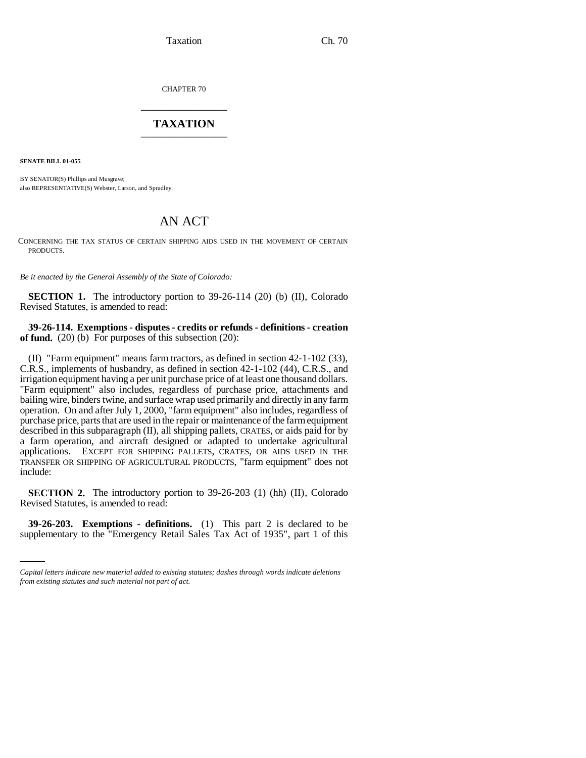Taxation Ch. 70

CHAPTER 70 \_\_\_\_\_\_\_\_\_\_\_\_\_\_\_

## **TAXATION** \_\_\_\_\_\_\_\_\_\_\_\_\_\_\_

**SENATE BILL 01-055**

BY SENATOR(S) Phillips and Musgrave; also REPRESENTATIVE(S) Webster, Larson, and Spradley.

## AN ACT

CONCERNING THE TAX STATUS OF CERTAIN SHIPPING AIDS USED IN THE MOVEMENT OF CERTAIN PRODUCTS.

*Be it enacted by the General Assembly of the State of Colorado:*

**SECTION 1.** The introductory portion to 39-26-114 (20) (b) (II), Colorado Revised Statutes, is amended to read:

**39-26-114. Exemptions - disputes - credits or refunds - definitions - creation** of fund. (20) (b) For purposes of this subsection (20):

(II) "Farm equipment" means farm tractors, as defined in section 42-1-102 (33), C.R.S., implements of husbandry, as defined in section 42-1-102 (44), C.R.S., and irrigation equipment having a per unit purchase price of at least one thousand dollars. "Farm equipment" also includes, regardless of purchase price, attachments and bailing wire, binders twine, and surface wrap used primarily and directly in any farm operation. On and after July 1, 2000, "farm equipment" also includes, regardless of purchase price, parts that are used in the repair or maintenance of the farm equipment described in this subparagraph (II), all shipping pallets, CRATES, or aids paid for by a farm operation, and aircraft designed or adapted to undertake agricultural applications. EXCEPT FOR SHIPPING PALLETS, CRATES, OR AIDS USED IN THE TRANSFER OR SHIPPING OF AGRICULTURAL PRODUCTS, "farm equipment" does not include:

**SECTION 2.** The introductory portion to 39-26-203 (1) (hh) (II), Colorado Revised Statutes, is amended to read:

**39-26-203. Exemptions - definitions.** (1) This part 2 is declared to be supplementary to the "Emergency Retail Sales Tax Act of 1935", part 1 of this

*Capital letters indicate new material added to existing statutes; dashes through words indicate deletions from existing statutes and such material not part of act.*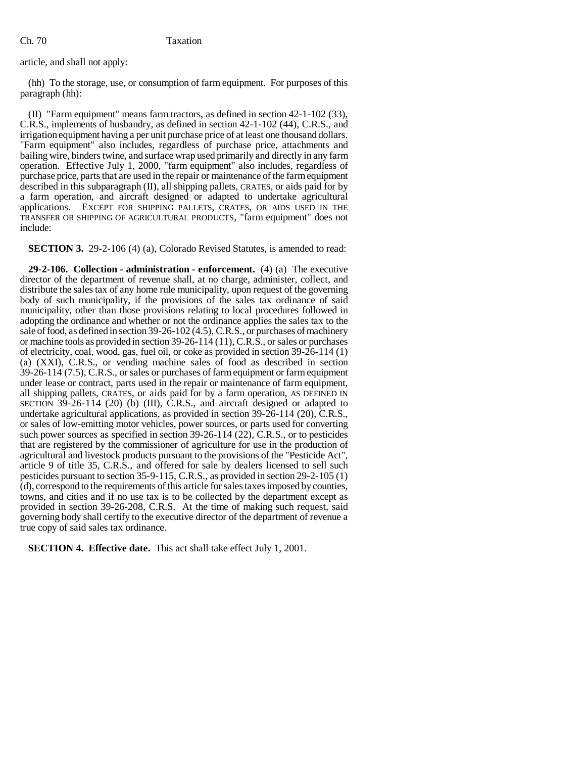article, and shall not apply:

(hh) To the storage, use, or consumption of farm equipment. For purposes of this paragraph (hh):

(II) "Farm equipment" means farm tractors, as defined in section 42-1-102 (33), C.R.S., implements of husbandry, as defined in section 42-1-102 (44), C.R.S., and irrigation equipment having a per unit purchase price of at least one thousand dollars. "Farm equipment" also includes, regardless of purchase price, attachments and bailing wire, binders twine, and surface wrap used primarily and directly in any farm operation. Effective July 1, 2000, "farm equipment" also includes, regardless of purchase price, parts that are used in the repair or maintenance of the farm equipment described in this subparagraph (II), all shipping pallets, CRATES, or aids paid for by a farm operation, and aircraft designed or adapted to undertake agricultural applications. EXCEPT FOR SHIPPING PALLETS, CRATES, OR AIDS USED IN THE TRANSFER OR SHIPPING OF AGRICULTURAL PRODUCTS, "farm equipment" does not include:

**SECTION 3.** 29-2-106 (4) (a), Colorado Revised Statutes, is amended to read:

**29-2-106. Collection - administration - enforcement.** (4) (a) The executive director of the department of revenue shall, at no charge, administer, collect, and distribute the sales tax of any home rule municipality, upon request of the governing body of such municipality, if the provisions of the sales tax ordinance of said municipality, other than those provisions relating to local procedures followed in adopting the ordinance and whether or not the ordinance applies the sales tax to the sale of food, as defined in section 39-26-102 (4.5), C.R.S., or purchases of machinery or machine tools as provided in section 39-26-114 (11), C.R.S., or sales or purchases of electricity, coal, wood, gas, fuel oil, or coke as provided in section 39-26-114 (1) (a) (XXI), C.R.S., or vending machine sales of food as described in section 39-26-114 (7.5), C.R.S., or sales or purchases of farm equipment or farm equipment under lease or contract, parts used in the repair or maintenance of farm equipment, all shipping pallets, CRATES, or aids paid for by a farm operation, AS DEFINED IN SECTION 39-26-114 (20) (b) (III), C.R.S., and aircraft designed or adapted to undertake agricultural applications, as provided in section 39-26-114 (20), C.R.S., or sales of low-emitting motor vehicles, power sources, or parts used for converting such power sources as specified in section 39-26-114 (22), C.R.S., or to pesticides that are registered by the commissioner of agriculture for use in the production of agricultural and livestock products pursuant to the provisions of the "Pesticide Act", article 9 of title 35, C.R.S., and offered for sale by dealers licensed to sell such pesticides pursuant to section 35-9-115, C.R.S., as provided in section 29-2-105 (1) (d), correspond to the requirements of this article for sales taxes imposed by counties, towns, and cities and if no use tax is to be collected by the department except as provided in section 39-26-208, C.R.S. At the time of making such request, said governing body shall certify to the executive director of the department of revenue a true copy of said sales tax ordinance.

**SECTION 4. Effective date.** This act shall take effect July 1, 2001.